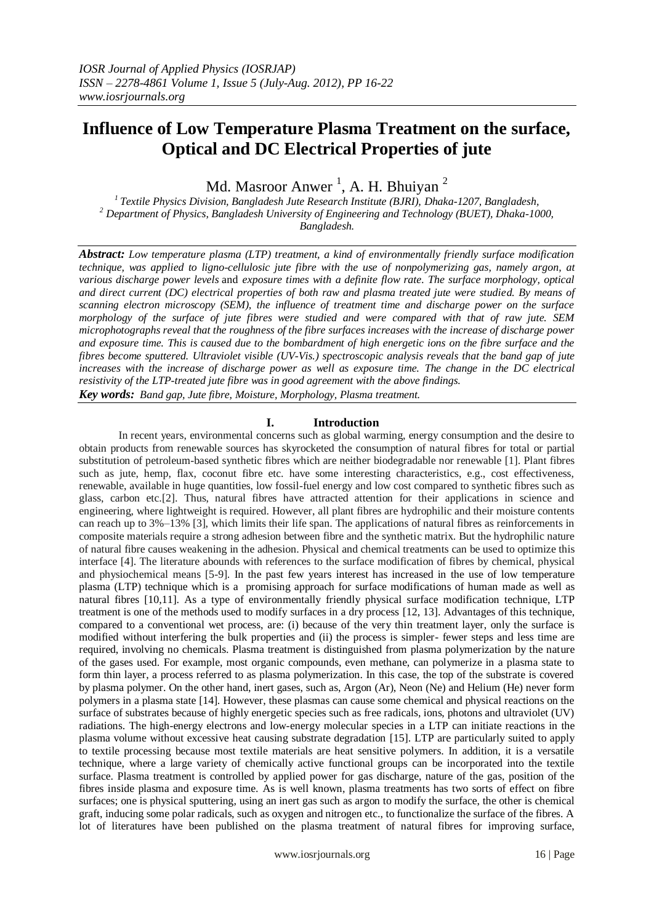# **Influence of Low Temperature Plasma Treatment on the surface, Optical and DC Electrical Properties of jute**

Md. Masroor Anwer<sup>1</sup>, A. H. Bhuiyan<sup>2</sup>

*<sup>1</sup>Textile Physics Division, Bangladesh Jute Research Institute (BJRI), Dhaka-1207, Bangladesh, <sup>2</sup> Department of Physics, Bangladesh University of Engineering and Technology (BUET), Dhaka-1000, Bangladesh.*

*Abstract: Low temperature plasma (LTP) treatment, a kind of environmentally friendly surface modification technique, was applied to ligno-cellulosic jute fibre with the use of nonpolymerizing gas, namely argon, at various discharge power levels* and *exposure times with a definite flow rate. The surface morphology, optical and direct current (DC) electrical properties of both raw and plasma treated jute were studied. By means of scanning electron microscopy (SEM), the influence of treatment time and discharge power on the surface morphology of the surface of jute fibres were studied and were compared with that of raw jute. SEM microphotographs reveal that the roughness of the fibre surfaces increases with the increase of discharge power and exposure time. This is caused due to the bombardment of high energetic ions on the fibre surface and the fibres become sputtered. Ultraviolet visible (UV-Vis.) spectroscopic analysis reveals that the band gap of jute increases with the increase of discharge power as well as exposure time. The change in the DC electrical resistivity of the LTP-treated jute fibre was in good agreement with the above findings. Key words: Band gap, Jute fibre, Moisture, Morphology, Plasma treatment.*

**I. Introduction**

In recent years, environmental concerns such as global warming, energy consumption and the desire to obtain products from renewable sources has skyrocketed the consumption of natural fibres for total or partial substitution of petroleum-based synthetic fibres which are neither biodegradable nor renewable [1]. Plant fibres such as jute, hemp, flax, coconut fibre etc. have some interesting characteristics, e.g., cost effectiveness, renewable, available in huge quantities, low fossil-fuel energy and low cost compared to synthetic fibres such as glass, carbon etc.[2]. Thus, natural fibres have attracted attention for their applications in science and engineering, where lightweight is required. However, all plant fibres are hydrophilic and their moisture contents can reach up to 3%–13% [3], which limits their life span. The applications of natural fibres as reinforcements in composite materials require a strong adhesion between fibre and the synthetic matrix. But the hydrophilic nature of natural fibre causes weakening in the adhesion. Physical and chemical treatments can be used to optimize this interface [4]. The literature abounds with references to the surface modification of fibres by chemical, physical and physiochemical means [5-9]. In the past few years interest has increased in the use of low temperature plasma (LTP) technique which is a promising approach for surface modifications of human made as well as natural fibres [10,11]. As a type of environmentally friendly physical surface modification technique, LTP treatment is one of the methods used to modify surfaces in a dry process [12, 13]. Advantages of this technique, compared to a conventional wet process, are: (i) because of the very thin treatment layer, only the surface is modified without interfering the bulk properties and (ii) the process is simpler- fewer steps and less time are required, involving no chemicals. Plasma treatment is distinguished from plasma polymerization by the nature of the gases used. For example, most organic compounds, even methane, can polymerize in a plasma state to form thin layer, a process referred to as plasma polymerization. In this case, the top of the substrate is covered by plasma polymer. On the other hand, inert gases, such as, Argon (Ar), Neon (Ne) and Helium (He) never form polymers in a plasma state [14]. However, these plasmas can cause some chemical and physical reactions on the surface of substrates because of highly energetic species such as free radicals, ions, photons and ultraviolet (UV) radiations. The high-energy electrons and low-energy molecular species in a LTP can initiate reactions in the plasma volume without excessive heat causing substrate degradation [15]. LTP are particularly suited to apply to textile processing because most textile materials are heat sensitive polymers. In addition, it is a versatile technique, where a large variety of chemically active functional groups can be incorporated into the textile surface. Plasma treatment is controlled by applied power for gas discharge, nature of the gas, position of the fibres inside plasma and exposure time. As is well known, plasma treatments has two sorts of effect on fibre surfaces; one is physical sputtering, using an inert gas such as argon to modify the surface, the other is chemical graft, inducing some polar radicals, such as oxygen and nitrogen etc., to functionalize the surface of the fibres. A lot of literatures have been published on the plasma treatment of natural fibres for improving surface,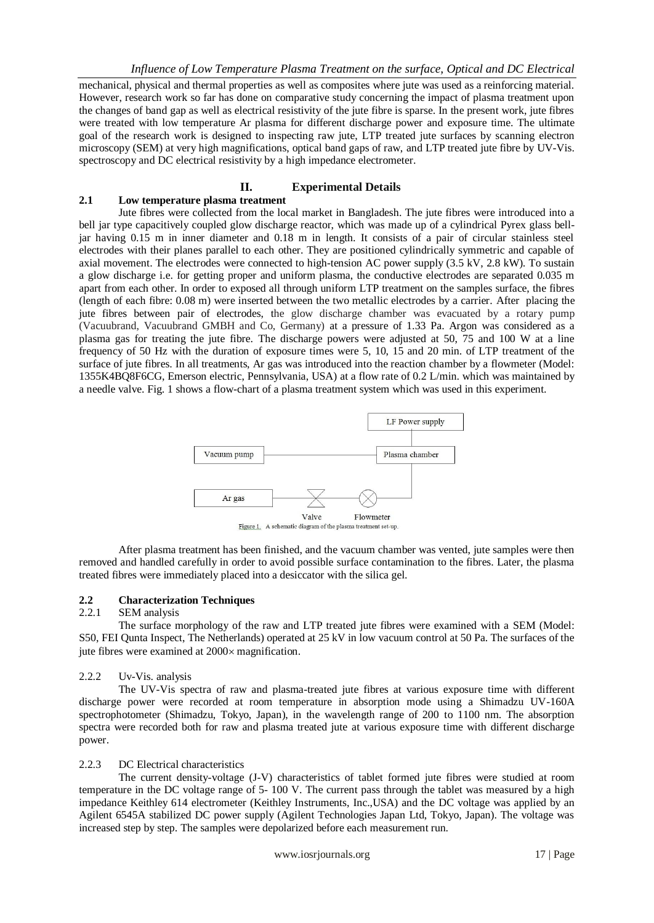mechanical, physical and thermal properties as well as composites where jute was used as a reinforcing material. However, research work so far has done on comparative study concerning the impact of plasma treatment upon the changes of band gap as well as electrical resistivity of the jute fibre is sparse. In the present work, jute fibres were treated with low temperature Ar plasma for different discharge power and exposure time. The ultimate goal of the research work is designed to inspecting raw jute, LTP treated jute surfaces by scanning electron microscopy (SEM) at very high magnifications, optical band gaps of raw, and LTP treated jute fibre by UV-Vis. spectroscopy and DC electrical resistivity by a high impedance electrometer.

## **II. Experimental Details**

## **2.1 Low temperature plasma treatment**

Jute fibres were collected from the local market in Bangladesh. The jute fibres were introduced into a bell jar type capacitively coupled glow discharge reactor, which was made up of a cylindrical Pyrex glass belljar having 0.15 m in inner diameter and 0.18 m in length. It consists of a pair of circular stainless steel electrodes with their planes parallel to each other. They are positioned cylindrically symmetric and capable of axial movement. The electrodes were connected to high-tension AC power supply (3.5 kV, 2.8 kW). To sustain a glow discharge i.e. for getting proper and uniform plasma, the conductive electrodes are separated 0.035 m apart from each other. In order to exposed all through uniform LTP treatment on the samples surface, the fibres (length of each fibre: 0.08 m) were inserted between the two metallic electrodes by a carrier. After placing the jute fibres between pair of electrodes, the glow discharge chamber was evacuated by a rotary pump (Vacuubrand, Vacuubrand GMBH and Co, Germany) at a pressure of 1.33 Pa. Argon was considered as a plasma gas for treating the jute fibre. The discharge powers were adjusted at 50, 75 and 100 W at a line frequency of 50 Hz with the duration of exposure times were 5, 10, 15 and 20 min. of LTP treatment of the surface of jute fibres. In all treatments, Ar gas was introduced into the reaction chamber by a flowmeter (Model: 1355K4BQ8F6CG, Emerson electric, Pennsylvania, USA) at a flow rate of 0.2 L/min. which was maintained by a needle valve. Fig. 1 shows a flow-chart of a plasma treatment system which was used in this experiment.



After plasma treatment has been finished, and the vacuum chamber was vented, jute samples were then removed and handled carefully in order to avoid possible surface contamination to the fibres. Later, the plasma treated fibres were immediately placed into a desiccator with the silica gel.

## **2.2 Characterization Techniques**

#### 2.2.1 SEM analysis

The surface morphology of the raw and LTP treated jute fibres were examined with a SEM (Model: S50, FEI Qunta Inspect, The Netherlands) operated at 25 kV in low vacuum control at 50 Pa. The surfaces of the jute fibres were examined at  $2000 \times$  magnification.

#### 2.2.2 Uv-Vis. analysis

The UV-Vis spectra of raw and plasma-treated jute fibres at various exposure time with different discharge power were recorded at room temperature in absorption mode using a Shimadzu UV-160A spectrophotometer (Shimadzu, Tokyo, Japan), in the wavelength range of 200 to 1100 nm. The absorption spectra were recorded both for raw and plasma treated jute at various exposure time with different discharge power.

## 2.2.3 DC Electrical characteristics

The current density-voltage (J-V) characteristics of tablet formed jute fibres were studied at room temperature in the DC voltage range of 5- 100 V. The current pass through the tablet was measured by a high impedance Keithley 614 electrometer (Keithley Instruments, Inc.,USA) and the DC voltage was applied by an Agilent 6545A stabilized DC power supply (Agilent Technologies Japan Ltd, Tokyo, Japan). The voltage was increased step by step. The samples were depolarized before each measurement run.

www.iosrjournals.org 17 | Page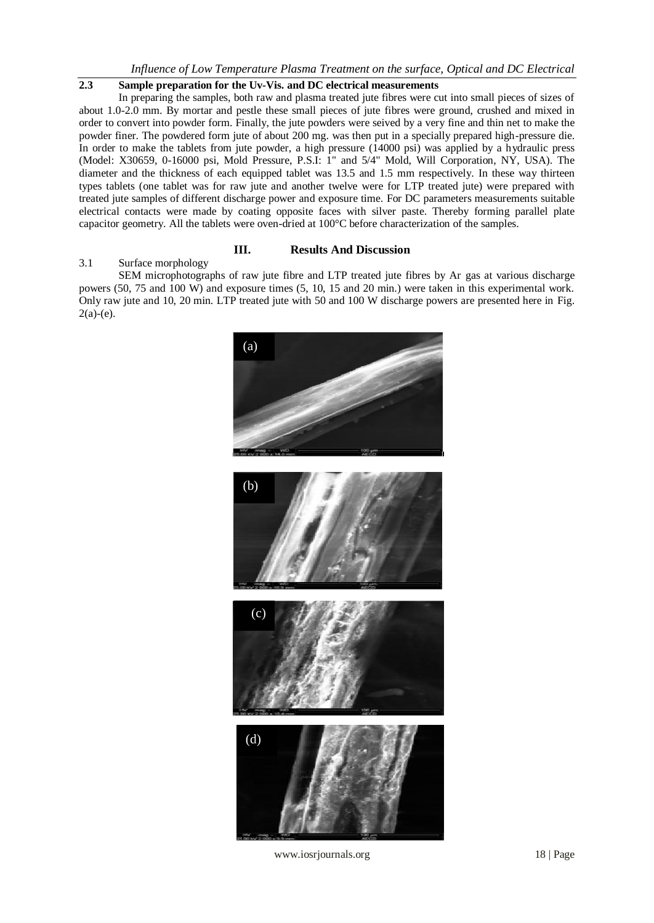## **2.3 Sample preparation for the Uv-Vis. and DC electrical measurements**

In preparing the samples, both raw and plasma treated jute fibres were cut into small pieces of sizes of about 1.0-2.0 mm. By mortar and pestle these small pieces of jute fibres were ground, crushed and mixed in order to convert into powder form. Finally, the jute powders were seived by a very fine and thin net to make the powder finer. The powdered form jute of about 200 mg. was then put in a specially prepared high-pressure die. In order to make the tablets from jute powder, a high pressure (14000 psi) was applied by a hydraulic press (Model: X30659, 0-16000 psi, Mold Pressure, P.S.I: 1" and 5/4" Mold, Will Corporation, NY, USA). The diameter and the thickness of each equipped tablet was 13.5 and 1.5 mm respectively. In these way thirteen types tablets (one tablet was for raw jute and another twelve were for LTP treated jute) were prepared with treated jute samples of different discharge power and exposure time. For DC parameters measurements suitable electrical contacts were made by coating opposite faces with silver paste. Thereby forming parallel plate capacitor geometry. All the tablets were oven-dried at 100°C before characterization of the samples.

## **III. Results And Discussion**

#### 3.1 Surface morphology

SEM microphotographs of raw jute fibre and LTP treated jute fibres by Ar gas at various discharge powers (50, 75 and 100 W) and exposure times (5, 10, 15 and 20 min.) were taken in this experimental work. Only raw jute and 10, 20 min. LTP treated jute with 50 and 100 W discharge powers are presented here in Fig.  $2(a)-(e)$ .



www.iosrjournals.org 18 | Page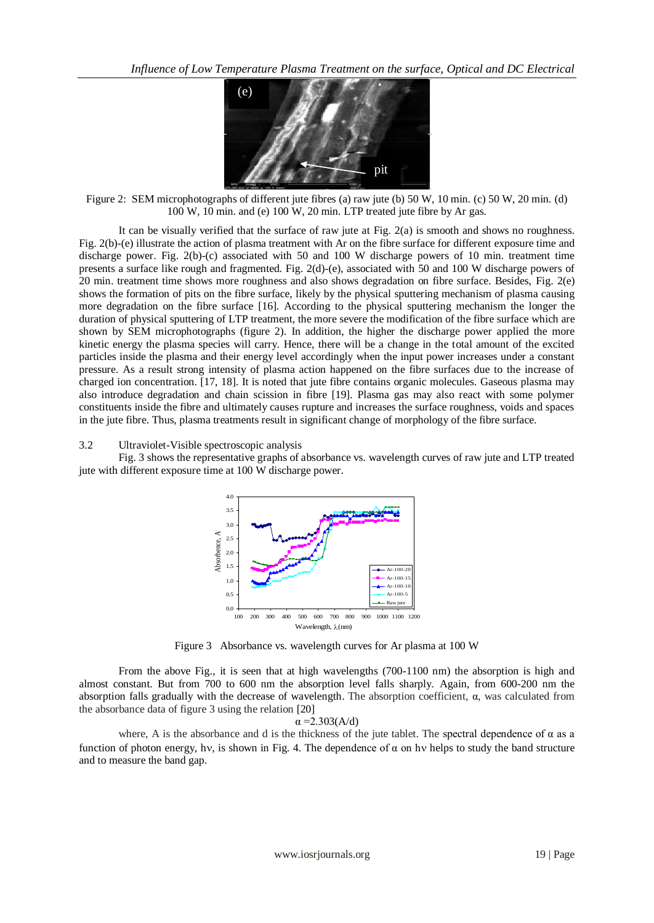

Figure 2: SEM microphotographs of different jute fibres (a) raw jute (b) 50 W, 10 min. (c) 50 W, 20 min. (d) 100 W, 10 min. and (e) 100 W, 20 min. LTP treated jute fibre by Ar gas.

It can be visually verified that the surface of raw jute at Fig. 2(a) is smooth and shows no roughness. Fig. 2(b)-(e) illustrate the action of plasma treatment with Ar on the fibre surface for different exposure time and discharge power. Fig. 2(b)-(c) associated with 50 and 100 W discharge powers of 10 min. treatment time presents a surface like rough and fragmented. Fig. 2(d)-(e), associated with 50 and 100 W discharge powers of 20 min. treatment time shows more roughness and also shows degradation on fibre surface. Besides, Fig. 2(e) shows the formation of pits on the fibre surface, likely by the physical sputtering mechanism of plasma causing more degradation on the fibre surface [16]. According to the physical sputtering mechanism the longer the duration of physical sputtering of LTP treatment, the more severe the modification of the fibre surface which are shown by SEM microphotographs (figure 2). In addition, the higher the discharge power applied the more kinetic energy the plasma species will carry. Hence, there will be a change in the total amount of the excited particles inside the plasma and their energy level accordingly when the input power increases under a constant pressure. As a result strong intensity of plasma action happened on the fibre surfaces due to the increase of charged ion concentration. [17, 18]. It is noted that jute fibre contains organic molecules. Gaseous plasma may also introduce degradation and chain scission in fibre [19]. Plasma gas may also react with some polymer constituents inside the fibre and ultimately causes rupture and increases the surface roughness, voids and spaces in the jute fibre. Thus, plasma treatments result in significant change of morphology of the fibre surface.

#### 3.2 Ultraviolet-Visible spectroscopic analysis

Fig. 3 shows the representative graphs of absorbance vs. wavelength curves of raw jute and LTP treated jute with different exposure time at 100 W discharge power.



Figure 3Absorbance vs. wavelength curves for Ar plasma at 100 W

From the above Fig., it is seen that at high wavelengths (700-1100 nm) the absorption is high and almost constant. But from 700 to 600 nm the absorption level falls sharply. Again, from 600-200 nm the absorption falls gradually with the decrease of wavelength. The absorption coefficient, α, was calculated from the absorbance data of figure 3 using the relation [20]

#### $\alpha = 2.303(A/d)$

where, A is the absorbance and d is the thickness of the jute tablet. The spectral dependence of  $\alpha$  as a function of photon energy, hv, is shown in Fig. 4. The dependence of  $\alpha$  on hv helps to study the band structure and to measure the band gap.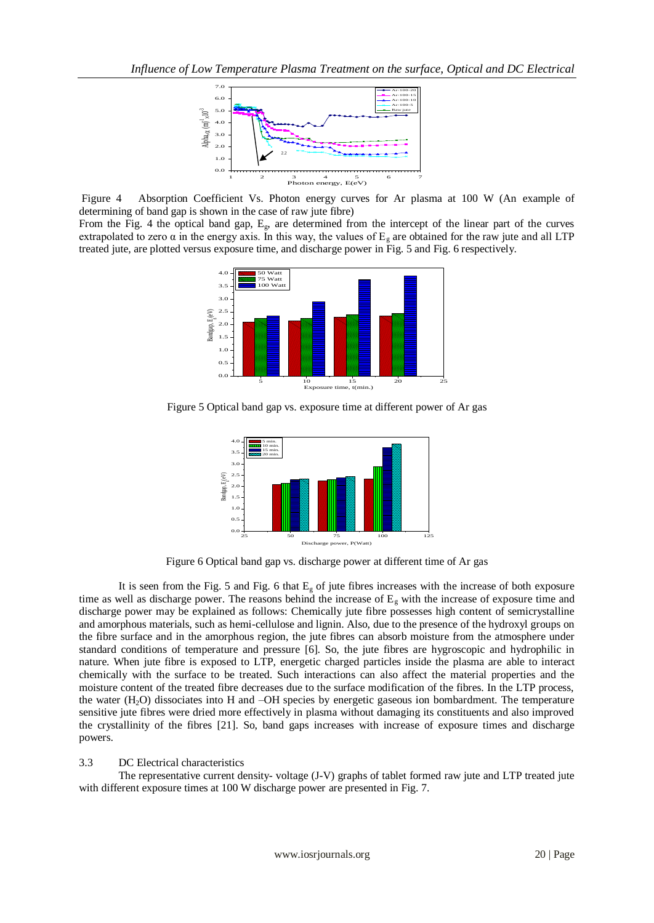

Figure 4Absorption Coefficient Vs. Photon energy curves for Ar plasma at 100 W (An example of determining of band gap is shown in the case of raw jute fibre)

From the Fig. 4 the optical band gap,  $E_g$ , are determined from the intercept of the linear part of the curves extrapolated to zero  $\alpha$  in the energy axis. In this way, the values of  $E<sub>g</sub>$  are obtained for the raw jute and all LTP treated jute, are plotted versus exposure time, and discharge power in Fig. 5 and Fig. 6 respectively.



Figure 5 Optical band gap vs. exposure time at different power of Ar gas



Figure 6 Optical band gap vs. discharge power at different time of Ar gas

It is seen from the Fig. 5 and Fig. 6 that  $E<sub>g</sub>$  of jute fibres increases with the increase of both exposure time as well as discharge power. The reasons behind the increase of  $E<sub>g</sub>$  with the increase of exposure time and discharge power may be explained as follows: Chemically jute fibre possesses high content of semicrystalline and amorphous materials, such as hemi-cellulose and lignin. Also, due to the presence of the hydroxyl groups on the fibre surface and in the amorphous region, the jute fibres can absorb moisture from the atmosphere under standard conditions of temperature and pressure [6]. So, the jute fibres are hygroscopic and hydrophilic in nature. When jute fibre is exposed to LTP, energetic charged particles inside the plasma are able to interact chemically with the surface to be treated. Such interactions can also affect the material properties and the moisture content of the treated fibre decreases due to the surface modification of the fibres. In the LTP process, the water (H2O) dissociates into H and –OH species by energetic gaseous ion bombardment. The temperature sensitive jute fibres were dried more effectively in plasma without damaging its constituents and also improved the crystallinity of the fibres [21]. So, band gaps increases with increase of exposure times and discharge powers.

### 3.3 DC Electrical characteristics

The representative current density- voltage (J-V) graphs of tablet formed raw jute and LTP treated jute with different exposure times at 100 W discharge power are presented in Fig. 7.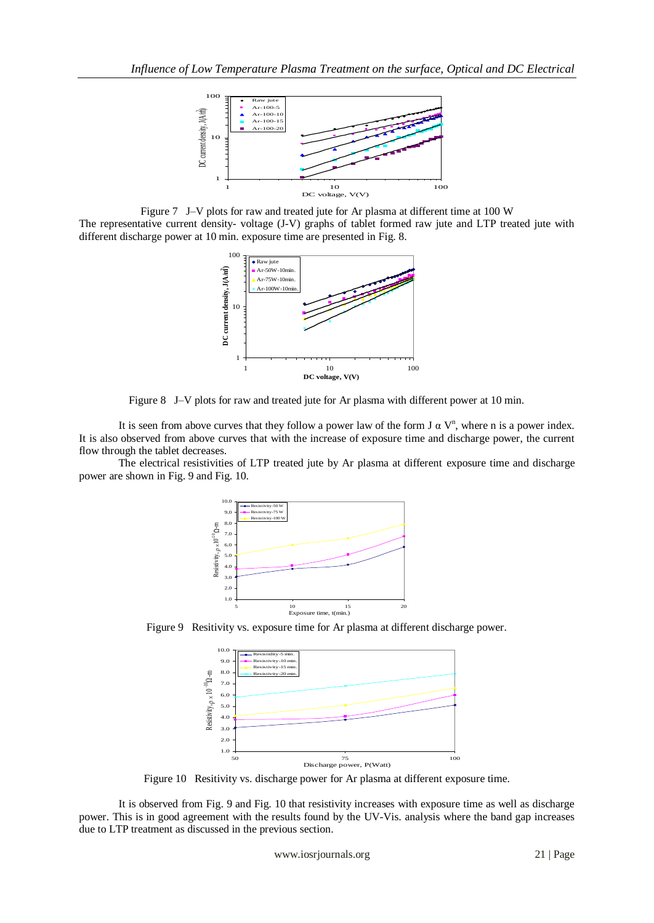

Figure 7J–V plots for raw and treated jute for Ar plasma at different time at 100 W The representative current density- voltage (J-V) graphs of tablet formed raw jute and LTP treated jute with different discharge power at 10 min. exposure time are presented in Fig. 8.



Figure 8J–V plots for raw and treated jute for Ar plasma with different power at 10 min.

It is seen from above curves that they follow a power law of the form  $J \alpha V^n$ , where n is a power index. It is also observed from above curves that with the increase of exposure time and discharge power, the current flow through the tablet decreases.

The electrical resistivities of LTP treated jute by Ar plasma at different exposure time and discharge power are shown in Fig. 9 and Fig. 10.



Figure 9Resitivity vs. exposure time for Ar plasma at different discharge power.



Figure 10Resitivity vs. discharge power for Ar plasma at different exposure time.

It is observed from Fig. 9 and Fig. 10 that resistivity increases with exposure time as well as discharge power. This is in good agreement with the results found by the UV-Vis. analysis where the band gap increases due to LTP treatment as discussed in the previous section.

www.iosrjournals.org 21 | Page